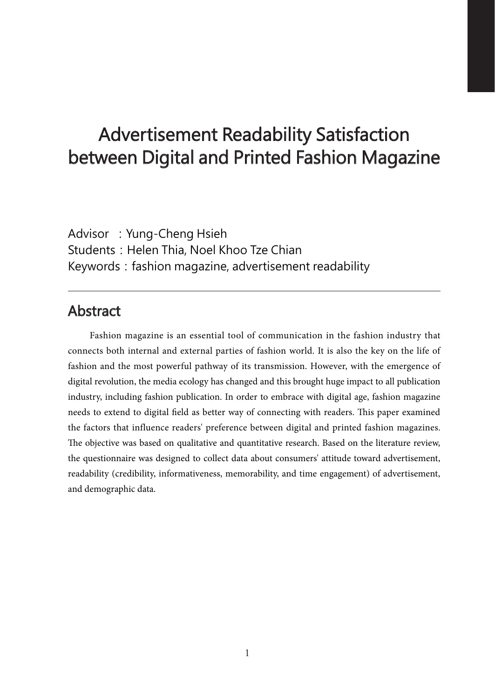# Advertisement Readability Satisfaction between Digital and Printed Fashion Magazine

Advisor: Yung-Cheng Hsieh Students: Helen Thia, Noel Khoo Tze Chian Keywords: fashion magazine, advertisement readability

## Abstract

Fashion magazine is an essential tool of communication in the fashion industry that connects both internal and external parties of fashion world. It is also the key on the life of fashion and the most powerful pathway of its transmission. However, with the emergence of digital revolution, the media ecology has changed and this brought huge impact to all publication industry, including fashion publication. In order to embrace with digital age, fashion magazine needs to extend to digital field as better way of connecting with readers. This paper examined the factors that influence readers' preference between digital and printed fashion magazines. The objective was based on qualitative and quantitative research. Based on the literature review, the questionnaire was designed to collect data about consumers' attitude toward advertisement, readability (credibility, informativeness, memorability, and time engagement) of advertisement, and demographic data.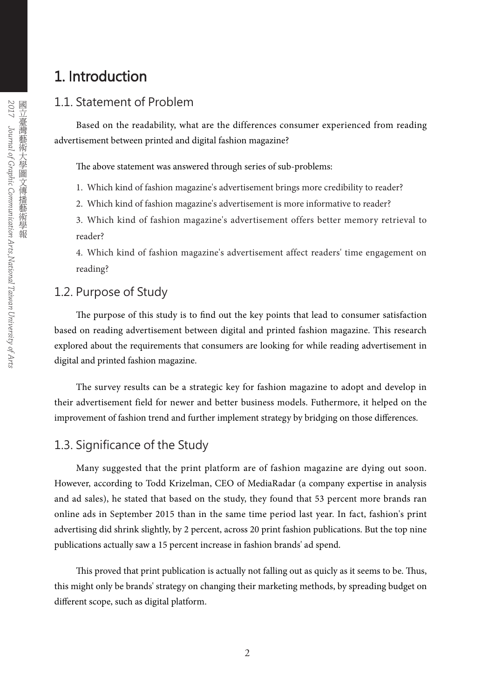## 1. Introduction

## 1.1. Statement of Problem

Based on the readability, what are the differences consumer experienced from reading advertisement between printed and digital fashion magazine?

The above statement was answered through series of sub-problems:

- 1. Which kind of fashion magazine's advertisement brings more credibility to reader?
- 2. Which kind of fashion magazine's advertisement is more informative to reader?
- 3. Which kind of fashion magazine's advertisement offers better memory retrieval to reader?

4. Which kind of fashion magazine's advertisement affect readers' time engagement on reading?

## 1.2. Purpose of Study

The purpose of this study is to find out the key points that lead to consumer satisfaction based on reading advertisement between digital and printed fashion magazine. This research explored about the requirements that consumers are looking for while reading advertisement in digital and printed fashion magazine.

The survey results can be a strategic key for fashion magazine to adopt and develop in their advertisement field for newer and better business models. Futhermore, it helped on the improvement of fashion trend and further implement strategy by bridging on those differences.

## 1.3. Significance of the Study

Many suggested that the print platform are of fashion magazine are dying out soon. However, according to Todd Krizelman, CEO of MediaRadar (a company expertise in analysis and ad sales), he stated that based on the study, they found that 53 percent more brands ran online ads in September 2015 than in the same time period last year. In fact, fashion's print advertising did shrink slightly, by 2 percent, across 20 print fashion publications. But the top nine publications actually saw a 15 percent increase in fashion brands' ad spend.

This proved that print publication is actually not falling out as quicly as it seems to be. Thus, this might only be brands' strategy on changing their marketing methods, by spreading budget on different scope, such as digital platform.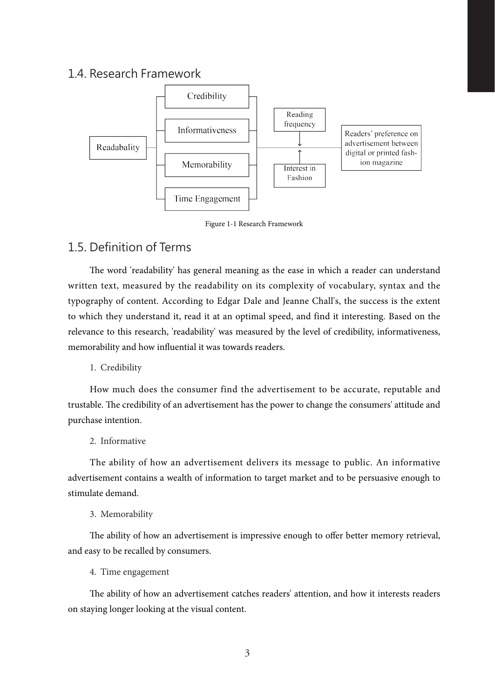### 1.4. Research Framework



Figure 1-1 Research Framework

## 1.5. Definition of Terms

The word 'readability' has general meaning as the ease in which a reader can understand written text, measured by the readability on its complexity of vocabulary, syntax and the typography of content. According to Edgar Dale and Jeanne Chall's, the success is the extent to which they understand it, read it at an optimal speed, and find it interesting. Based on the relevance to this research, 'readability' was measured by the level of credibility, informativeness, memorability and how influential it was towards readers.

1. Credibility

How much does the consumer find the advertisement to be accurate, reputable and trustable. The credibility of an advertisement has the power to change the consumers' attitude and purchase intention.

### 2. Informative

The ability of how an advertisement delivers its message to public. An informative advertisement contains a wealth of information to target market and to be persuasive enough to stimulate demand.

#### 3. Memorability

The ability of how an advertisement is impressive enough to offer better memory retrieval, and easy to be recalled by consumers.

4. Time engagement

The ability of how an advertisement catches readers' attention, and how it interests readers on staying longer looking at the visual content.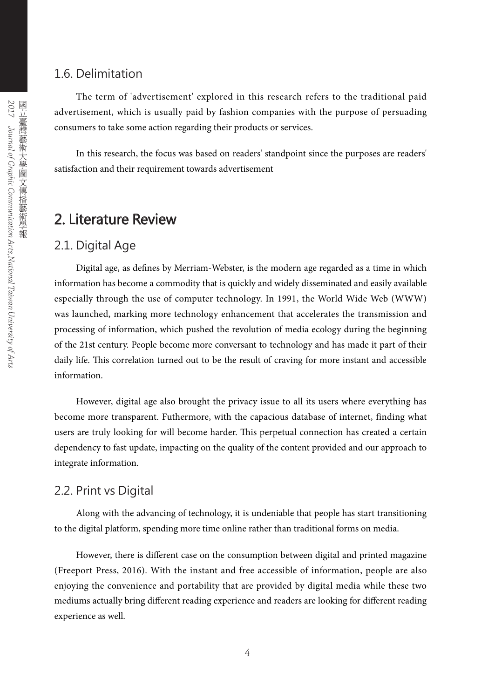### 1.6. Delimitation

The term of 'advertisement' explored in this research refers to the traditional paid advertisement, which is usually paid by fashion companies with the purpose of persuading consumers to take some action regarding their products or services.

In this research, the focus was based on readers' standpoint since the purposes are readers' satisfaction and their requirement towards advertisement

## 2. Literature Review

### 2.1. Digital Age

Digital age, as defines by Merriam-Webster, is the modern age regarded as a time in which information has become a commodity that is quickly and widely disseminated and easily available especially through the use of computer technology. In 1991, the World Wide Web (WWW) was launched, marking more technology enhancement that accelerates the transmission and processing of information, which pushed the revolution of media ecology during the beginning of the 21st century. People become more conversant to technology and has made it part of their daily life. This correlation turned out to be the result of craving for more instant and accessible information.

However, digital age also brought the privacy issue to all its users where everything has become more transparent. Futhermore, with the capacious database of internet, finding what users are truly looking for will become harder. This perpetual connection has created a certain dependency to fast update, impacting on the quality of the content provided and our approach to integrate information.

## 2.2. Print vs Digital

Along with the advancing of technology, it is undeniable that people has start transitioning to the digital platform, spending more time online rather than traditional forms on media.

However, there is different case on the consumption between digital and printed magazine (Freeport Press, 2016). With the instant and free accessible of information, people are also enjoying the convenience and portability that are provided by digital media while these two mediums actually bring different reading experience and readers are looking for different reading experience as well.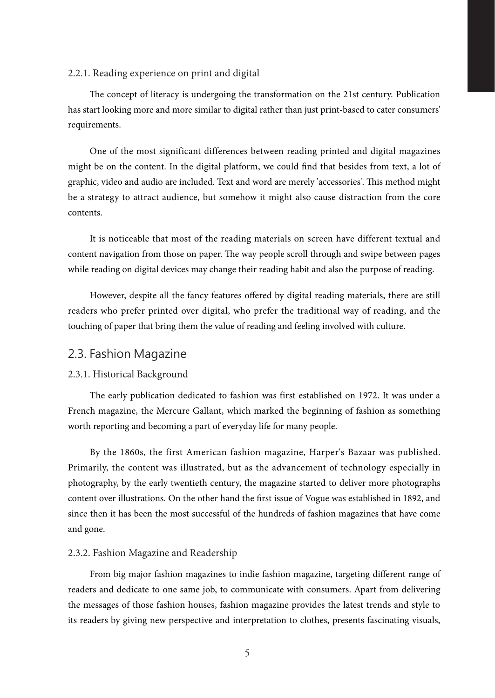#### 2.2.1. Reading experience on print and digital

The concept of literacy is undergoing the transformation on the 21st century. Publication has start looking more and more similar to digital rather than just print-based to cater consumers' requirements.

One of the most significant differences between reading printed and digital magazines might be on the content. In the digital platform, we could find that besides from text, a lot of graphic, video and audio are included. Text and word are merely 'accessories'. This method might be a strategy to attract audience, but somehow it might also cause distraction from the core contents.

It is noticeable that most of the reading materials on screen have different textual and content navigation from those on paper. The way people scroll through and swipe between pages while reading on digital devices may change their reading habit and also the purpose of reading.

However, despite all the fancy features offered by digital reading materials, there are still readers who prefer printed over digital, who prefer the traditional way of reading, and the touching of paper that bring them the value of reading and feeling involved with culture.

### 2.3. Fashion Magazine

#### 2.3.1. Historical Background

The early publication dedicated to fashion was first established on 1972. It was under a French magazine, the Mercure Gallant, which marked the beginning of fashion as something worth reporting and becoming a part of everyday life for many people.

By the 1860s, the first American fashion magazine, Harper's Bazaar was published. Primarily, the content was illustrated, but as the advancement of technology especially in photography, by the early twentieth century, the magazine started to deliver more photographs content over illustrations. On the other hand the first issue of Vogue was established in 1892, and since then it has been the most successful of the hundreds of fashion magazines that have come and gone.

#### 2.3.2. Fashion Magazine and Readership

From big major fashion magazines to indie fashion magazine, targeting different range of readers and dedicate to one same job, to communicate with consumers. Apart from delivering the messages of those fashion houses, fashion magazine provides the latest trends and style to its readers by giving new perspective and interpretation to clothes, presents fascinating visuals,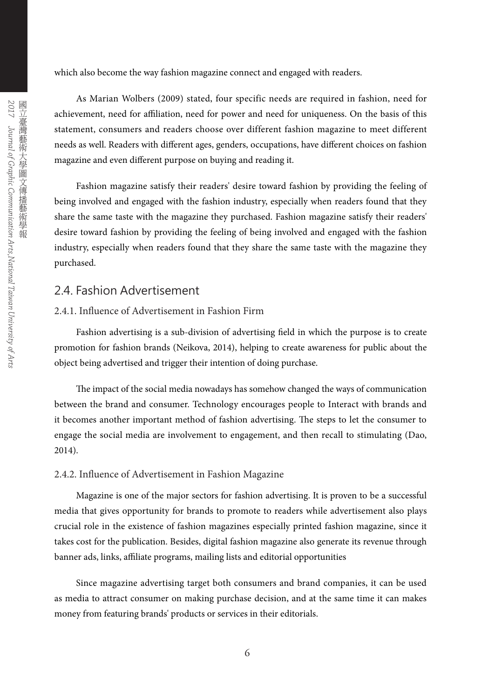which also become the way fashion magazine connect and engaged with readers.

As Marian Wolbers (2009) stated, four specific needs are required in fashion, need for achievement, need for affiliation, need for power and need for uniqueness. On the basis of this statement, consumers and readers choose over different fashion magazine to meet different needs as well. Readers with different ages, genders, occupations, have different choices on fashion magazine and even different purpose on buying and reading it.

Fashion magazine satisfy their readers' desire toward fashion by providing the feeling of being involved and engaged with the fashion industry, especially when readers found that they share the same taste with the magazine they purchased. Fashion magazine satisfy their readers' desire toward fashion by providing the feeling of being involved and engaged with the fashion industry, especially when readers found that they share the same taste with the magazine they purchased.

## 2.4. Fashion Advertisement

### 2.4.1. Influence of Advertisement in Fashion Firm

Fashion advertising is a sub-division of advertising field in which the purpose is to create promotion for fashion brands (Neikova, 2014), helping to create awareness for public about the object being advertised and trigger their intention of doing purchase.

The impact of the social media nowadays has somehow changed the ways of communication between the brand and consumer. Technology encourages people to Interact with brands and it becomes another important method of fashion advertising. The steps to let the consumer to engage the social media are involvement to engagement, and then recall to stimulating (Dao, 2014).

### 2.4.2. Influence of Advertisement in Fashion Magazine

Magazine is one of the major sectors for fashion advertising. It is proven to be a successful media that gives opportunity for brands to promote to readers while advertisement also plays crucial role in the existence of fashion magazines especially printed fashion magazine, since it takes cost for the publication. Besides, digital fashion magazine also generate its revenue through banner ads, links, affiliate programs, mailing lists and editorial opportunities

Since magazine advertising target both consumers and brand companies, it can be used as media to attract consumer on making purchase decision, and at the same time it can makes money from featuring brands' products or services in their editorials.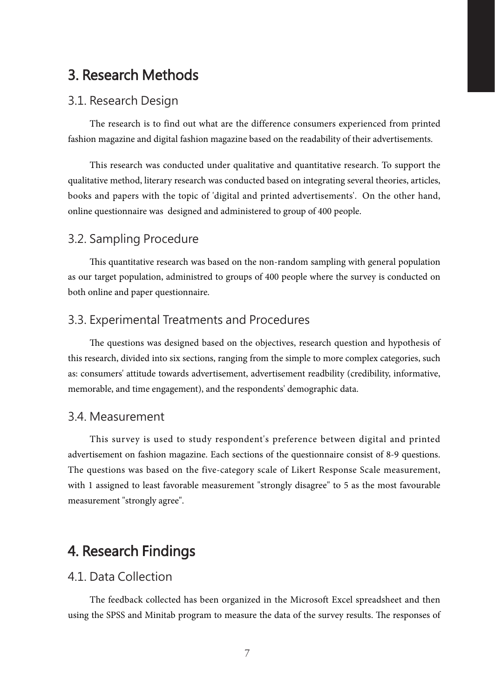## 3. Research Methods

### 3.1. Research Design

The research is to find out what are the difference consumers experienced from printed fashion magazine and digital fashion magazine based on the readability of their advertisements.

This research was conducted under qualitative and quantitative research. To support the qualitative method, literary research was conducted based on integrating several theories, articles, books and papers with the topic of 'digital and printed advertisements'. On the other hand, online questionnaire was designed and administered to group of 400 people.

### 3.2. Sampling Procedure

This quantitative research was based on the non-random sampling with general population as our target population, administred to groups of 400 people where the survey is conducted on both online and paper questionnaire.

### 3.3. Experimental Treatments and Procedures

The questions was designed based on the objectives, research question and hypothesis of this research, divided into six sections, ranging from the simple to more complex categories, such as: consumers' attitude towards advertisement, advertisement readbility (credibility, informative, memorable, and time engagement), and the respondents' demographic data.

### 3.4. Measurement

This survey is used to study respondent's preference between digital and printed advertisement on fashion magazine. Each sections of the questionnaire consist of 8-9 questions. The questions was based on the five-category scale of Likert Response Scale measurement, with 1 assigned to least favorable measurement "strongly disagree" to 5 as the most favourable measurement "strongly agree".

## 4. Research Findings

### 4.1. Data Collection

The feedback collected has been organized in the Microsoft Excel spreadsheet and then using the SPSS and Minitab program to measure the data of the survey results. The responses of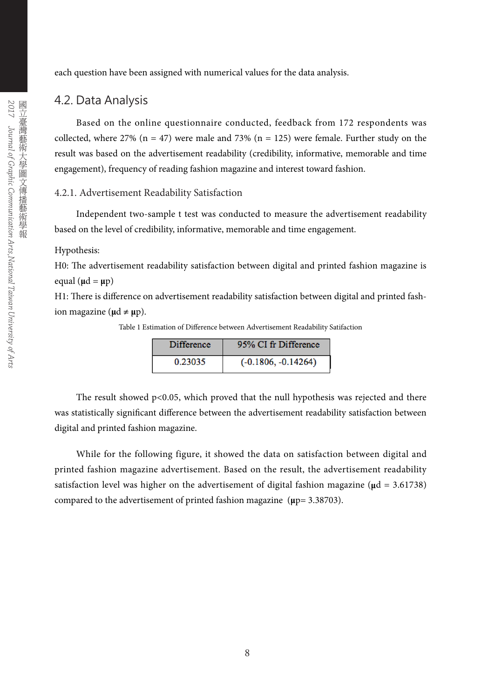each question have been assigned with numerical values for the data analysis.

### 4.2. Data Analysis

Based on the online questionnaire conducted, feedback from 172 respondents was collected, where 27% (n = 47) were male and 73% (n = 125) were female. Further study on the result was based on the advertisement readability (credibility, informative, memorable and time engagement), frequency of reading fashion magazine and interest toward fashion.

#### 4.2.1. Advertisement Readability Satisfaction

Independent two-sample t test was conducted to measure the advertisement readability based on the level of credibility, informative, memorable and time engagement.

#### Hypothesis:

H0: The advertisement readability satisfaction between digital and printed fashion magazine is equal  $(\mu d = \mu p)$ 

H1: There is difference on advertisement readability satisfaction between digital and printed fashion magazine ( $\mu d \neq \mu p$ ).

Table 1 Estimation of Difference between Advertisement Readability Satifaction

| <b>Difference</b> | 95% CI fr Difference  |
|-------------------|-----------------------|
| 0.23035           | $(-0.1806, -0.14264)$ |

The result showed  $p<0.05$ , which proved that the null hypothesis was rejected and there was statistically significant difference between the advertisement readability satisfaction between digital and printed fashion magazine.

While for the following figure, it showed the data on satisfaction between digital and printed fashion magazine advertisement. Based on the result, the advertisement readability satisfaction level was higher on the advertisement of digital fashion magazine (**μ**d = 3.61738) compared to the advertisement of printed fashion magazine (**μ**p= 3.38703).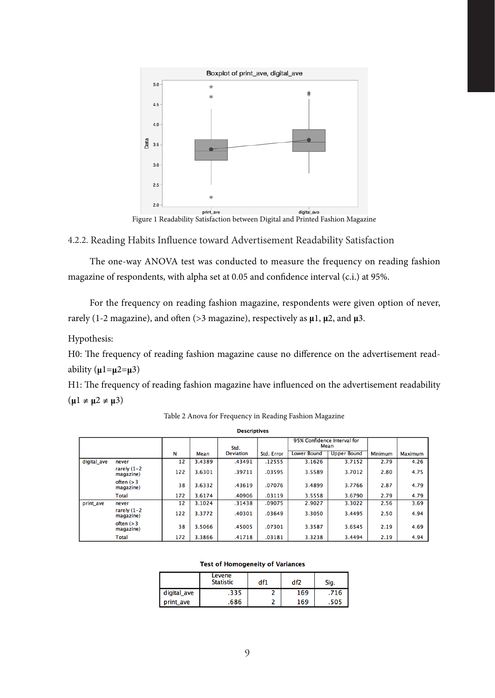

Figure 1 Readability Satisfaction between Digital and Printed Fashion Magazine

4.2.2. Reading Habits Influence toward Advertisement Readability Satisfaction

The one-way ANOVA test was conducted to measure the frequency on reading fashion magazine of respondents, with alpha set at 0.05 and confidence interval (c.i.) at 95%.

For the frequency on reading fashion magazine, respondents were given option of never, rarely (1-2 magazine), and often ( $>3$  magazine), respectively as  $\mu$ 1,  $\mu$ 2, and  $\mu$ 3.

Hypothesis:

H0: The frequency of reading fashion magazine cause no difference on the advertisement readability (**μ**1=**μ**2=**μ**3)

H1: The frequency of reading fashion magazine have influenced on the advertisement readability  $(\mu_1 \neq \mu_2 \neq \mu_3)$ 

Table 2 Anova for Frequency in Reading Fashion Magazine

| <b>Descriptives</b> |                             |     |        |                  |            |                             |                    |                |                |
|---------------------|-----------------------------|-----|--------|------------------|------------|-----------------------------|--------------------|----------------|----------------|
|                     |                             |     |        | Std.             |            | 95% Confidence Interval for | Mean               |                |                |
|                     |                             | N   | Mean   | <b>Deviation</b> | Std. Error | <b>Lower Bound</b>          | <b>Upper Bound</b> | <b>Minimum</b> | <b>Maximum</b> |
| digital ave         | never                       | 12  | 3.4389 | .43491           | .12555     | 3.1626                      | 3.7152             | 2.79           | 4.26           |
|                     | rarely $(1-2)$<br>magazine) | 122 | 3.6301 | .39711           | .03595     | 3.5589                      | 3.7012             | 2.80           | 4.75           |
|                     | often $(>3$<br>magazine)    | 38  | 3.6332 | .43619           | .07076     | 3.4899                      | 3.7766             | 2.87           | 4.79           |
|                     | Total                       | 172 | 3.6174 | .40906           | .03119     | 3.5558                      | 3.6790             | 2.79           | 4.79           |
| print ave           | never                       | 12  | 3.1024 | .31438           | .09075     | 2.9027                      | 3.3022             | 2.56           | 3.69           |
|                     | rarely $(1-2)$<br>magazine) | 122 | 3.3772 | .40301           | .03649     | 3.3050                      | 3.4495             | 2.50           | 4.94           |
|                     | often $(>3$<br>magazine)    | 38  | 3.5066 | .45005           | .07301     | 3.3587                      | 3.6545             | 2.19           | 4.69           |
|                     | Total                       | 172 | 3.3866 | .41718           | .03181     | 3.3238                      | 3.4494             | 2.19           | 4.94           |

#### **Test of Homogeneity of Variances**

|             | Levene<br><b>Statistic</b> | df1 | df2 | Sig. |  |
|-------------|----------------------------|-----|-----|------|--|
| digital ave | .335                       |     | 169 | .716 |  |
| print ave   | .686                       |     | 169 | .505 |  |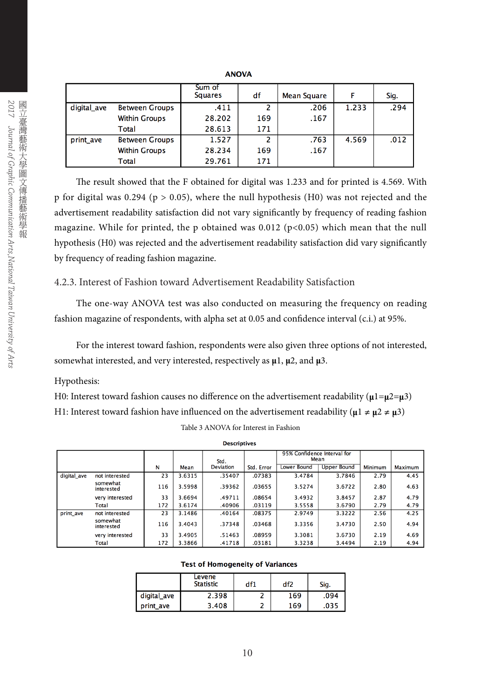|             |                       | Sum of<br><b>Squares</b> | df  | Mean Square | F     | Sig. |
|-------------|-----------------------|--------------------------|-----|-------------|-------|------|
| digital ave | <b>Between Groups</b> | .411                     | 2   | .206        | 1.233 | .294 |
|             | <b>Within Groups</b>  | 28.202                   | 169 | .167        |       |      |
|             | Total                 | 28.613                   | 171 |             |       |      |
| print ave   | <b>Between Groups</b> | 1.527                    | 2   | .763        | 4.569 | .012 |
|             | <b>Within Groups</b>  | 28.234                   | 169 | .167        |       |      |
|             | Total                 | 29.761                   | 171 |             |       |      |

**ANOVA** 

The result showed that the F obtained for digital was 1.233 and for printed is 4.569. With p for digital was 0.294 ( $p > 0.05$ ), where the null hypothesis (H0) was not rejected and the advertisement readability satisfaction did not vary significantly by frequency of reading fashion magazine. While for printed, the p obtained was  $0.012$  (p<0.05) which mean that the null hypothesis (H0) was rejected and the advertisement readability satisfaction did vary significantly by frequency of reading fashion magazine.

### 4.2.3. Interest of Fashion toward Advertisement Readability Satisfaction

The one-way ANOVA test was also conducted on measuring the frequency on reading fashion magazine of respondents, with alpha set at 0.05 and confidence interval (c.i.) at 95%.

For the interest toward fashion, respondents were also given three options of not interested, somewhat interested, and very interested, respectively as **μ**1, **μ**2, and **μ**3.

#### Hypothesis:

H0: Interest toward fashion causes no difference on the advertisement readability ( $\mu$ 1= $\mu$ 2= $\mu$ 3) H1: Interest toward fashion have influenced on the advertisement readability ( $\mu$ 1  $\neq \mu$ 2  $\neq \mu$ 3)

|             |                        |     |        | Std.             |            | 95% Confidence Interval for<br>Mean |                    |                |         |
|-------------|------------------------|-----|--------|------------------|------------|-------------------------------------|--------------------|----------------|---------|
|             |                        | N   | Mean   | <b>Deviation</b> | Std. Error | <b>Lower Bound</b>                  | <b>Upper Bound</b> | <b>Minimum</b> | Maximum |
| digital ave | not interested         | 23  | 3.6315 | .35407           | .07383     | 3.4784                              | 3.7846             | 2.79           | 4.45    |
|             | somewhat<br>interested | 116 | 3.5998 | .39362           | .03655     | 3.5274                              | 3.6722             | 2.80           | 4.63    |
|             | very interested        | 33  | 3.6694 | .49711           | .08654     | 3.4932                              | 3.8457             | 2.87           | 4.79    |
|             | Total                  | 172 | 3.6174 | .40906           | .03119     | 3.5558                              | 3.6790             | 2.79           | 4.79    |
| print_ave   | not interested         | 23  | 3.1486 | .40164           | .08375     | 2.9749                              | 3.3222             | 2.56           | 4.25    |
|             | somewhat<br>interested | 116 | 3.4043 | .37348           | .03468     | 3.3356                              | 3.4730             | 2.50           | 4.94    |
|             | very interested        | 33  | 3.4905 | .51463           | .08959     | 3.3081                              | 3.6730             | 2.19           | 4.69    |
|             | Total                  | 172 | 3.3866 | .41718           | .03181     | 3.3238                              | 3.4494             | 2.19           | 4.94    |

Table 3 ANOVA for Interest in Fashion **Descriptives** 

#### **Test of Homogeneity of Variances**

|             | Levene<br><b>Statistic</b> | df1 | df2 | Sig. |  |
|-------------|----------------------------|-----|-----|------|--|
| digital_ave | 2.398                      |     | 169 | .094 |  |
| print ave   | 3.408                      |     | 169 | 035. |  |

| トレー・<br>ことさ                                        | ミデ                                                        |
|----------------------------------------------------|-----------------------------------------------------------|
| ן הוא מיל <i>חו</i> ת המונה ו<br>THE THEFT AND LOT | ニュー・マー ニュー・イー ニ<br>/「其一日」 コースートーキナニョミニックトード<br>、學圖文傳播藝術學報 |
| J<br>l                                             |                                                           |
| te terrestriction for the state of the t<br>ï      |                                                           |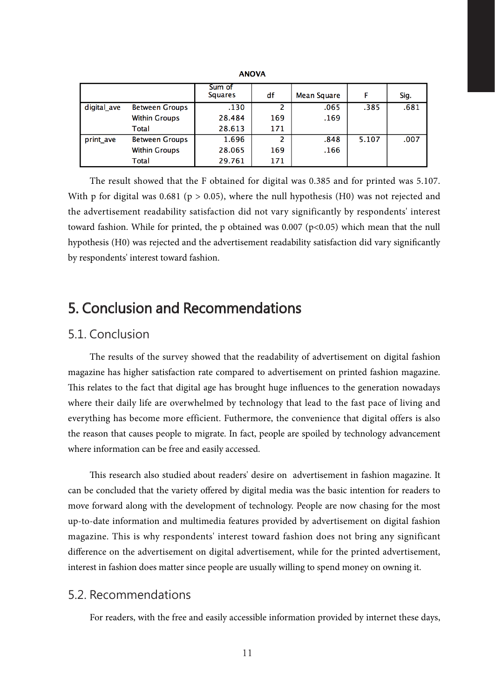|             |                       | Sum of<br><b>Squares</b> | df  | Mean Square | F     | Sig. |
|-------------|-----------------------|--------------------------|-----|-------------|-------|------|
| digital_ave | <b>Between Groups</b> | .130                     | 2   | .065        | .385  | .681 |
|             | <b>Within Groups</b>  | 28.484                   | 169 | .169        |       |      |
|             | Total                 | 28.613                   | 171 |             |       |      |
| print ave   | <b>Between Groups</b> | 1.696                    | 2   | .848        | 5.107 | .007 |
|             | <b>Within Groups</b>  | 28.065                   | 169 | .166        |       |      |
|             | Total                 | 29.761                   | 171 |             |       |      |

**ANOVA** 

The result showed that the F obtained for digital was 0.385 and for printed was 5.107. With p for digital was 0.681 (p  $> 0.05$ ), where the null hypothesis (H0) was not rejected and the advertisement readability satisfaction did not vary significantly by respondents' interest toward fashion. While for printed, the p obtained was 0.007 (p<0.05) which mean that the null hypothesis (H0) was rejected and the advertisement readability satisfaction did vary significantly by respondents' interest toward fashion.

## 5. Conclusion and Recommendations

### 5.1. Conclusion

The results of the survey showed that the readability of advertisement on digital fashion magazine has higher satisfaction rate compared to advertisement on printed fashion magazine. This relates to the fact that digital age has brought huge influences to the generation nowadays where their daily life are overwhelmed by technology that lead to the fast pace of living and everything has become more efficient. Futhermore, the convenience that digital offers is also the reason that causes people to migrate. In fact, people are spoiled by technology advancement where information can be free and easily accessed.

This research also studied about readers' desire on advertisement in fashion magazine. It can be concluded that the variety offered by digital media was the basic intention for readers to move forward along with the development of technology. People are now chasing for the most up-to-date information and multimedia features provided by advertisement on digital fashion magazine. This is why respondents' interest toward fashion does not bring any significant difference on the advertisement on digital advertisement, while for the printed advertisement, interest in fashion does matter since people are usually willing to spend money on owning it.

### 5.2. Recommendations

For readers, with the free and easily accessible information provided by internet these days,